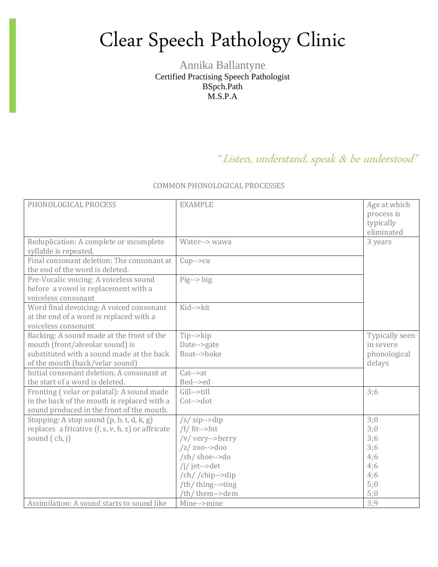## Clear Speech Pathology Clinic

Annika Ballantyne Certified Practising Speech Pathologist BSpch.Path M.S.P.A

## "Listen, understand, speak & be understood"

## COMMON PHONOLOGICAL PROCESSES

| PHONOLOGICAL PROCESS                                                                                       | <b>EXAMPLE</b>        | Age at which<br>process is<br>typically<br>eliminated |
|------------------------------------------------------------------------------------------------------------|-----------------------|-------------------------------------------------------|
| Reduplication: A complete or incomplete<br>syllable is repeated.                                           | Water--> wawa         | 3 years                                               |
| Final consonant deletion: The consonant at<br>the end of the word is deleted.                              | $Cup->cu$             |                                                       |
| Pre-Vocalic voicing: A voiceless sound<br>before a vowel is replacement with a<br>voiceless consonant      | $Pig \rightarrow big$ |                                                       |
| Word final devoicing: A voiced consonant<br>at the end of a word is replaced with a<br>voiceless consonant | Kid-->kit             |                                                       |
| Backing: A sound made at the front of the                                                                  | Tip-->kip             | Typically seen                                        |
| mouth (front/alveolar sound) is                                                                            | Date-->gate           | in severe                                             |
| substituted with a sound made at the back                                                                  | Boat-->boke           | phonological                                          |
| of the mouth (back/velar sound)<br>Initial consonant deletion: A consonant at                              | $Cat->at$             | delays                                                |
| the start of a word is deleted.                                                                            | Bed-->ed              |                                                       |
| Fronting (velar or palatal): A sound made                                                                  | Gill-->till           | 3:6                                                   |
| in the back of the mouth is replaced with a                                                                | Cot-->dot             |                                                       |
| sound produced in the front of the mouth.                                                                  |                       |                                                       |
| Stopping: A stop sound (p, b, t, d, k, g)                                                                  | $/s/$ sip-->dip       | 3:0                                                   |
| replaces a fricative $(f, s, v, h, z)$ or affricate                                                        | $/f/$ fit-->bit       | 3;0                                                   |
| sound (ch, j)                                                                                              | /v/ very-->berry      | 3;6                                                   |
|                                                                                                            | $/z/$ zoo-->doo       | 3;6                                                   |
|                                                                                                            | /sh/ shoe-->do        | 4;6                                                   |
|                                                                                                            | /j/jet-->det          | 4;6                                                   |
|                                                                                                            | /ch//chip-->dip       | 4;6                                                   |
|                                                                                                            | /th/ thing-->ting     | 5:0                                                   |
|                                                                                                            | /th/ them-->dem       | 5:0                                                   |
| Assimilation: A sound starts to sound like                                                                 | Mine-->mine           | 3:9                                                   |